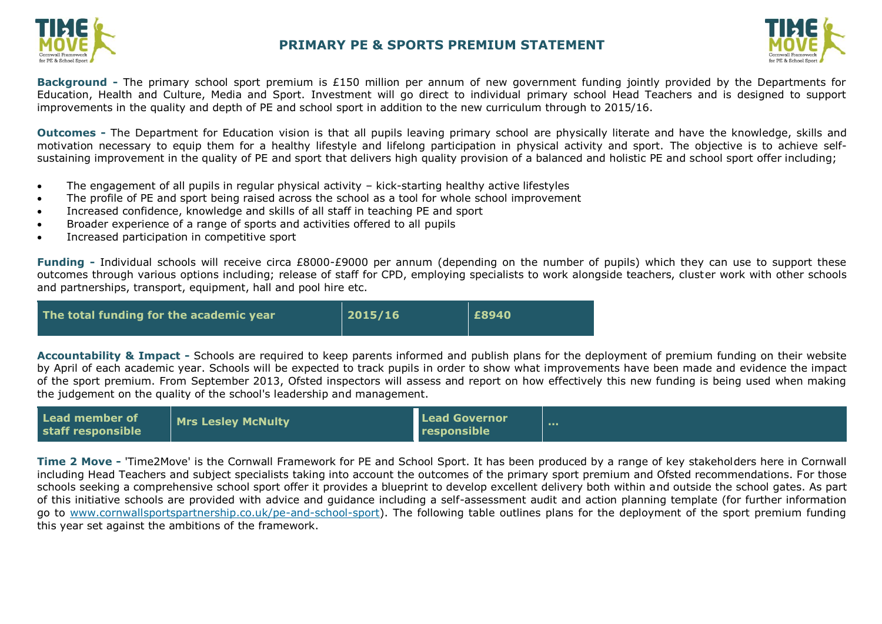



**Background -** The primary school sport premium is £150 million per annum of new government funding jointly provided by the Departments for Education, Health and Culture, Media and Sport. Investment will go direct to individual primary school Head Teachers and is designed to support improvements in the quality and depth of PE and school sport in addition to the new curriculum through to 2015/16.

**Outcomes -** The Department for Education vision is that all pupils leaving primary school are physically literate and have the knowledge, skills and motivation necessary to equip them for a healthy lifestyle and lifelong participation in physical activity and sport. The objective is to achieve selfsustaining improvement in the quality of PE and sport that delivers high quality provision of a balanced and holistic PE and school sport offer including;

- The engagement of all pupils in regular physical activity kick-starting healthy active lifestyles
- The profile of PE and sport being raised across the school as a tool for whole school improvement
- Increased confidence, knowledge and skills of all staff in teaching PE and sport
- Broader experience of a range of sports and activities offered to all pupils
- Increased participation in competitive sport

**Funding -** Individual schools will receive circa £8000-£9000 per annum (depending on the number of pupils) which they can use to support these outcomes through various options including; release of staff for CPD, employing specialists to work alongside teachers, cluster work with other schools and partnerships, transport, equipment, hall and pool hire etc.



**Accountability & Impact -** Schools are required to keep parents informed and publish plans for the deployment of premium funding on their website by April of each academic year. Schools will be expected to track pupils in order to show what improvements have been made and [evidence the impact](http://www.cornwallsportspartnership.co.uk/)  of the sport premium. From September 2013, [Ofsted](http://www.ofsted.gov.uk/inspection-reports/our-expert-knowledge/physical-education) inspectors will assess and report on how effectively this new funding is being used when making the judgement on the quality of the school's leadership and management.

| Lead member of<br>staff responsible | Mrs Lesley McNulty | Lead Governor<br>responsible |  |
|-------------------------------------|--------------------|------------------------------|--|
|-------------------------------------|--------------------|------------------------------|--|

**Time 2 Move -** 'Time2Move' is the Cornwall Framework for PE and School Sport. It has been produced by a range of key stakeholders here in Cornwall including Head Teachers and subject specialists taking into account the outcomes of the primary sport premium and Ofsted recommendations. For those schools seeking a comprehensive school sport offer it provides a blueprint to develop excellent delivery both within and outside the school gates. As part of this initiative schools are provided with advice and guidance including a self-assessment audit and action planning template (for further information go to [www.cornwallsportspartnership.co.uk/pe-and-school-sport\)](http://www.cornwallsportspartnership.co.uk/pe-and-school-sport). The following table outlines plans for the deployment of the sport premium funding this year set against the ambitions of the framework.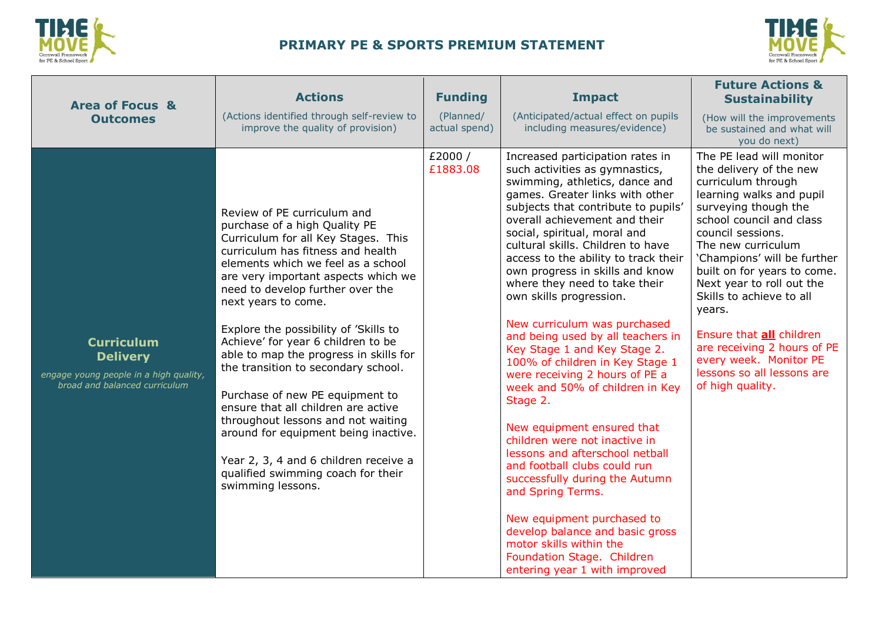



| <b>Area of Focus &amp;</b>                                                                                      | <b>Actions</b>                                                                                                                                                                                                                                                                                                                                                                                                                                                                                                                                                                                                                                                                                               | <b>Funding</b>             | <b>Impact</b>                                                                                                                                                                                                                                                                                                                                                                                                                                                                                                                                                                                                                                                                                                                                                                                                                                                                                                                                                                                            | <b>Future Actions &amp;</b><br><b>Sustainability</b>                                                                                                                                                                                                                                                                                                                                                                                                                         |
|-----------------------------------------------------------------------------------------------------------------|--------------------------------------------------------------------------------------------------------------------------------------------------------------------------------------------------------------------------------------------------------------------------------------------------------------------------------------------------------------------------------------------------------------------------------------------------------------------------------------------------------------------------------------------------------------------------------------------------------------------------------------------------------------------------------------------------------------|----------------------------|----------------------------------------------------------------------------------------------------------------------------------------------------------------------------------------------------------------------------------------------------------------------------------------------------------------------------------------------------------------------------------------------------------------------------------------------------------------------------------------------------------------------------------------------------------------------------------------------------------------------------------------------------------------------------------------------------------------------------------------------------------------------------------------------------------------------------------------------------------------------------------------------------------------------------------------------------------------------------------------------------------|------------------------------------------------------------------------------------------------------------------------------------------------------------------------------------------------------------------------------------------------------------------------------------------------------------------------------------------------------------------------------------------------------------------------------------------------------------------------------|
| <b>Outcomes</b>                                                                                                 | (Actions identified through self-review to<br>improve the quality of provision)                                                                                                                                                                                                                                                                                                                                                                                                                                                                                                                                                                                                                              | (Planned/<br>actual spend) | (Anticipated/actual effect on pupils<br>including measures/evidence)                                                                                                                                                                                                                                                                                                                                                                                                                                                                                                                                                                                                                                                                                                                                                                                                                                                                                                                                     | (How will the improvements<br>be sustained and what will<br>you do next)                                                                                                                                                                                                                                                                                                                                                                                                     |
| <b>Curriculum</b><br><b>Delivery</b><br>engage young people in a high quality,<br>broad and balanced curriculum | Review of PE curriculum and<br>purchase of a high Quality PE<br>Curriculum for all Key Stages. This<br>curriculum has fitness and health<br>elements which we feel as a school<br>are very important aspects which we<br>need to develop further over the<br>next years to come.<br>Explore the possibility of 'Skills to<br>Achieve' for year 6 children to be<br>able to map the progress in skills for<br>the transition to secondary school.<br>Purchase of new PE equipment to<br>ensure that all children are active<br>throughout lessons and not waiting<br>around for equipment being inactive.<br>Year 2, 3, 4 and 6 children receive a<br>qualified swimming coach for their<br>swimming lessons. | £2000/<br>£1883.08         | Increased participation rates in<br>such activities as gymnastics,<br>swimming, athletics, dance and<br>games. Greater links with other<br>subjects that contribute to pupils'<br>overall achievement and their<br>social, spiritual, moral and<br>cultural skills. Children to have<br>access to the ability to track their<br>own progress in skills and know<br>where they need to take their<br>own skills progression.<br>New curriculum was purchased<br>and being used by all teachers in<br>Key Stage 1 and Key Stage 2.<br>100% of children in Key Stage 1<br>were receiving 2 hours of PE a<br>week and 50% of children in Key<br>Stage 2.<br>New equipment ensured that<br>children were not inactive in<br>lessons and afterschool netball<br>and football clubs could run<br>successfully during the Autumn<br>and Spring Terms.<br>New equipment purchased to<br>develop balance and basic gross<br>motor skills within the<br>Foundation Stage. Children<br>entering year 1 with improved | The PE lead will monitor<br>the delivery of the new<br>curriculum through<br>learning walks and pupil<br>surveying though the<br>school council and class<br>council sessions.<br>The new curriculum<br>'Champions' will be further<br>built on for years to come.<br>Next year to roll out the<br>Skills to achieve to all<br>years.<br>Ensure that all children<br>are receiving 2 hours of PE<br>every week. Monitor PE<br>lessons so all lessons are<br>of high quality. |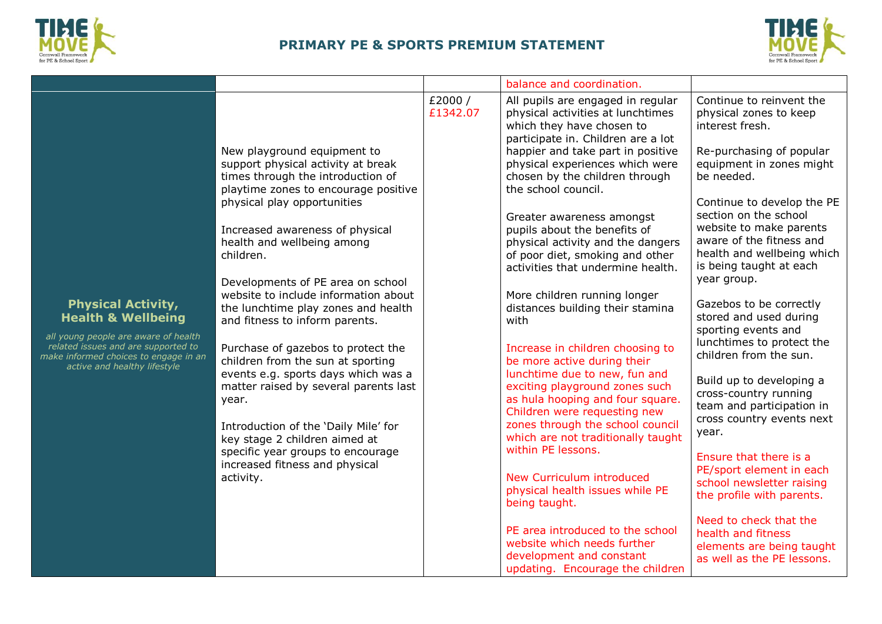



|                                                                                                                                                                                                                    |                                                                                                                                                                                                                                                                                                                                                                                                                                                                                                                                                                                                                                                                                                                                                    |                    | balance and coordination.                                                                                                                                                                                                                                                                                                                                                                                                                                                                                                                                                                                                                                                                                                                                                                                                                                                                                                                                                                                                                                      |                                                                                                                                                                                                                                                                                                                                                                                                                                                                                                                                                                                                                                                                                                                                                                                                                         |
|--------------------------------------------------------------------------------------------------------------------------------------------------------------------------------------------------------------------|----------------------------------------------------------------------------------------------------------------------------------------------------------------------------------------------------------------------------------------------------------------------------------------------------------------------------------------------------------------------------------------------------------------------------------------------------------------------------------------------------------------------------------------------------------------------------------------------------------------------------------------------------------------------------------------------------------------------------------------------------|--------------------|----------------------------------------------------------------------------------------------------------------------------------------------------------------------------------------------------------------------------------------------------------------------------------------------------------------------------------------------------------------------------------------------------------------------------------------------------------------------------------------------------------------------------------------------------------------------------------------------------------------------------------------------------------------------------------------------------------------------------------------------------------------------------------------------------------------------------------------------------------------------------------------------------------------------------------------------------------------------------------------------------------------------------------------------------------------|-------------------------------------------------------------------------------------------------------------------------------------------------------------------------------------------------------------------------------------------------------------------------------------------------------------------------------------------------------------------------------------------------------------------------------------------------------------------------------------------------------------------------------------------------------------------------------------------------------------------------------------------------------------------------------------------------------------------------------------------------------------------------------------------------------------------------|
| <b>Physical Activity,</b><br><b>Health &amp; Wellbeing</b><br>all young people are aware of health<br>related issues and are supported to<br>make informed choices to engage in an<br>active and healthy lifestyle | New playground equipment to<br>support physical activity at break<br>times through the introduction of<br>playtime zones to encourage positive<br>physical play opportunities<br>Increased awareness of physical<br>health and wellbeing among<br>children.<br>Developments of PE area on school<br>website to include information about<br>the lunchtime play zones and health<br>and fitness to inform parents.<br>Purchase of gazebos to protect the<br>children from the sun at sporting<br>events e.g. sports days which was a<br>matter raised by several parents last<br>year.<br>Introduction of the 'Daily Mile' for<br>key stage 2 children aimed at<br>specific year groups to encourage<br>increased fitness and physical<br>activity. | £2000/<br>£1342.07 | All pupils are engaged in regular<br>physical activities at lunchtimes<br>which they have chosen to<br>participate in. Children are a lot<br>happier and take part in positive<br>physical experiences which were<br>chosen by the children through<br>the school council.<br>Greater awareness amongst<br>pupils about the benefits of<br>physical activity and the dangers<br>of poor diet, smoking and other<br>activities that undermine health.<br>More children running longer<br>distances building their stamina<br>with<br>Increase in children choosing to<br>be more active during their<br>lunchtime due to new, fun and<br>exciting playground zones such<br>as hula hooping and four square.<br>Children were requesting new<br>zones through the school council<br>which are not traditionally taught<br>within PE lessons.<br>New Curriculum introduced<br>physical health issues while PE<br>being taught.<br>PE area introduced to the school<br>website which needs further<br>development and constant<br>updating. Encourage the children | Continue to reinvent the<br>physical zones to keep<br>interest fresh.<br>Re-purchasing of popular<br>equipment in zones might<br>be needed.<br>Continue to develop the PE<br>section on the school<br>website to make parents<br>aware of the fitness and<br>health and wellbeing which<br>is being taught at each<br>year group.<br>Gazebos to be correctly<br>stored and used during<br>sporting events and<br>lunchtimes to protect the<br>children from the sun.<br>Build up to developing a<br>cross-country running<br>team and participation in<br>cross country events next<br>year.<br>Ensure that there is a<br>PE/sport element in each<br>school newsletter raising<br>the profile with parents.<br>Need to check that the<br>health and fitness<br>elements are being taught<br>as well as the PE lessons. |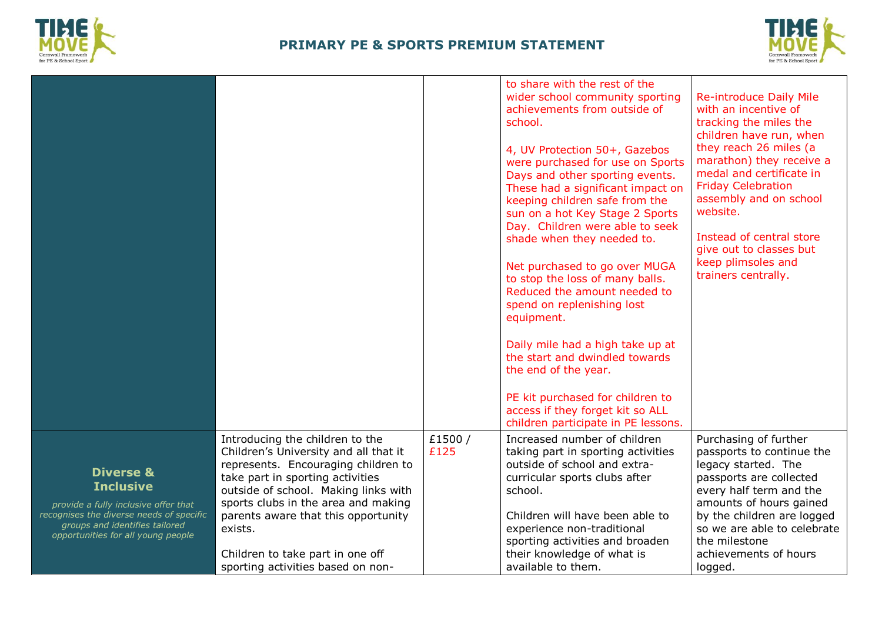



|                                                                                                                                                                                                      |                                                                                                                                                                                                                                                                                                                                                               |                | to share with the rest of the<br>wider school community sporting<br>achievements from outside of<br>school.<br>4, UV Protection 50+, Gazebos<br>were purchased for use on Sports<br>Days and other sporting events.<br>These had a significant impact on<br>keeping children safe from the<br>sun on a hot Key Stage 2 Sports<br>Day. Children were able to seek<br>shade when they needed to.<br>Net purchased to go over MUGA<br>to stop the loss of many balls.<br>Reduced the amount needed to<br>spend on replenishing lost<br>equipment.<br>Daily mile had a high take up at<br>the start and dwindled towards<br>the end of the year.<br>PE kit purchased for children to<br>access if they forget kit so ALL<br>children participate in PE lessons. | <b>Re-introduce Daily Mile</b><br>with an incentive of<br>tracking the miles the<br>children have run, when<br>they reach 26 miles (a<br>marathon) they receive a<br>medal and certificate in<br><b>Friday Celebration</b><br>assembly and on school<br>website.<br>Instead of central store<br>give out to classes but<br>keep plimsoles and<br>trainers centrally. |
|------------------------------------------------------------------------------------------------------------------------------------------------------------------------------------------------------|---------------------------------------------------------------------------------------------------------------------------------------------------------------------------------------------------------------------------------------------------------------------------------------------------------------------------------------------------------------|----------------|-------------------------------------------------------------------------------------------------------------------------------------------------------------------------------------------------------------------------------------------------------------------------------------------------------------------------------------------------------------------------------------------------------------------------------------------------------------------------------------------------------------------------------------------------------------------------------------------------------------------------------------------------------------------------------------------------------------------------------------------------------------|----------------------------------------------------------------------------------------------------------------------------------------------------------------------------------------------------------------------------------------------------------------------------------------------------------------------------------------------------------------------|
| <b>Diverse &amp;</b><br><b>Inclusive</b><br>provide a fully inclusive offer that<br>recognises the diverse needs of specific<br>groups and identifies tailored<br>opportunities for all young people | Introducing the children to the<br>Children's University and all that it<br>represents. Encouraging children to<br>take part in sporting activities<br>outside of school. Making links with<br>sports clubs in the area and making<br>parents aware that this opportunity<br>exists.<br>Children to take part in one off<br>sporting activities based on non- | £1500/<br>£125 | Increased number of children<br>taking part in sporting activities<br>outside of school and extra-<br>curricular sports clubs after<br>school.<br>Children will have been able to<br>experience non-traditional<br>sporting activities and broaden<br>their knowledge of what is<br>available to them.                                                                                                                                                                                                                                                                                                                                                                                                                                                      | Purchasing of further<br>passports to continue the<br>legacy started. The<br>passports are collected<br>every half term and the<br>amounts of hours gained<br>by the children are logged<br>so we are able to celebrate<br>the milestone<br>achievements of hours<br>logged.                                                                                         |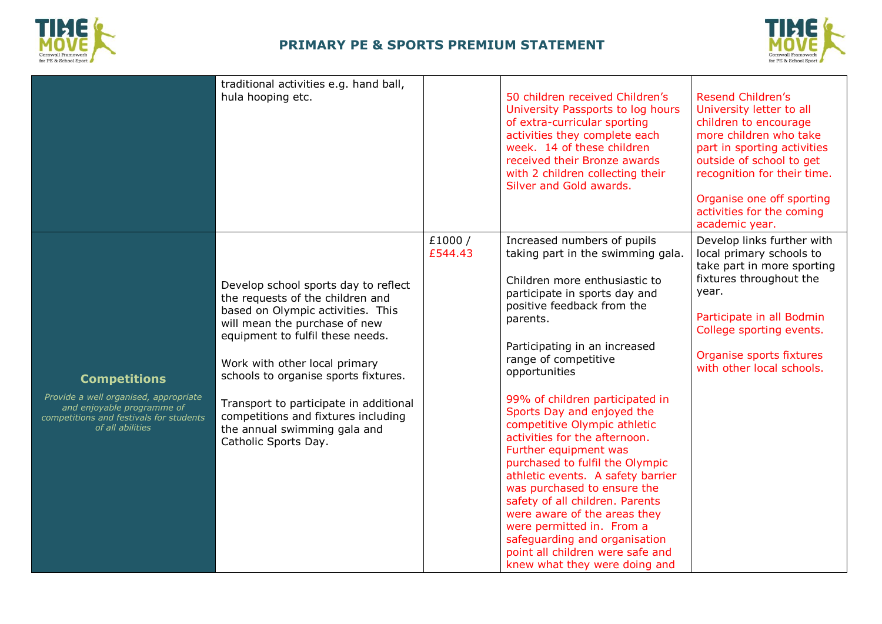



|                                                                                                                                                           | traditional activities e.g. hand ball,<br>hula hooping etc.                                                                                                                                                                                                                                                                                                                                          |                   | 50 children received Children's<br>University Passports to log hours<br>of extra-curricular sporting<br>activities they complete each<br>week. 14 of these children<br>received their Bronze awards<br>with 2 children collecting their<br>Silver and Gold awards.                                                                                                                                                                                                                                                                                                                                                                                                                                                             | <b>Resend Children's</b><br>University letter to all<br>children to encourage<br>more children who take<br>part in sporting activities<br>outside of school to get<br>recognition for their time.<br>Organise one off sporting<br>activities for the coming<br>academic year. |
|-----------------------------------------------------------------------------------------------------------------------------------------------------------|------------------------------------------------------------------------------------------------------------------------------------------------------------------------------------------------------------------------------------------------------------------------------------------------------------------------------------------------------------------------------------------------------|-------------------|--------------------------------------------------------------------------------------------------------------------------------------------------------------------------------------------------------------------------------------------------------------------------------------------------------------------------------------------------------------------------------------------------------------------------------------------------------------------------------------------------------------------------------------------------------------------------------------------------------------------------------------------------------------------------------------------------------------------------------|-------------------------------------------------------------------------------------------------------------------------------------------------------------------------------------------------------------------------------------------------------------------------------|
| <b>Competitions</b><br>Provide a well organised, appropriate<br>and enjoyable programme of<br>competitions and festivals for students<br>of all abilities | Develop school sports day to reflect<br>the requests of the children and<br>based on Olympic activities. This<br>will mean the purchase of new<br>equipment to fulfil these needs.<br>Work with other local primary<br>schools to organise sports fixtures.<br>Transport to participate in additional<br>competitions and fixtures including<br>the annual swimming gala and<br>Catholic Sports Day. | £1000/<br>£544.43 | Increased numbers of pupils<br>taking part in the swimming gala.<br>Children more enthusiastic to<br>participate in sports day and<br>positive feedback from the<br>parents.<br>Participating in an increased<br>range of competitive<br>opportunities<br>99% of children participated in<br>Sports Day and enjoyed the<br>competitive Olympic athletic<br>activities for the afternoon.<br>Further equipment was<br>purchased to fulfil the Olympic<br>athletic events. A safety barrier<br>was purchased to ensure the<br>safety of all children. Parents<br>were aware of the areas they<br>were permitted in. From a<br>safeguarding and organisation<br>point all children were safe and<br>knew what they were doing and | Develop links further with<br>local primary schools to<br>take part in more sporting<br>fixtures throughout the<br>year.<br>Participate in all Bodmin<br>College sporting events.<br>Organise sports fixtures<br>with other local schools.                                    |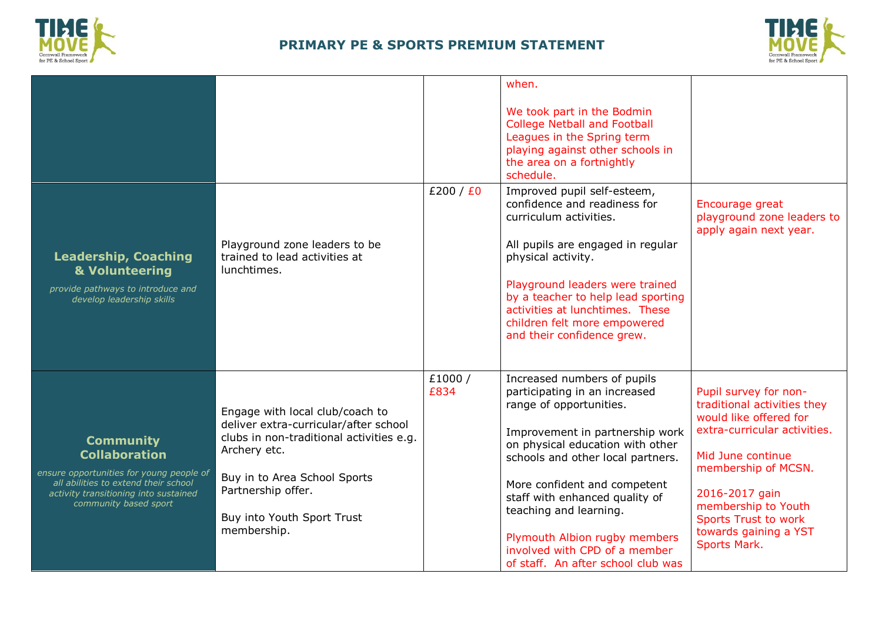



| <b>Leadership, Coaching</b><br>& Volunteering<br>provide pathways to introduce and<br>develop leadership skills                                                                                | Playground zone leaders to be<br>trained to lead activities at<br>lunchtimes.                                                                                                                                                           | £200 / £0      | when.<br>We took part in the Bodmin<br><b>College Netball and Football</b><br>Leagues in the Spring term<br>playing against other schools in<br>the area on a fortnightly<br>schedule.<br>Improved pupil self-esteem,<br>confidence and readiness for<br>curriculum activities.<br>All pupils are engaged in regular<br>physical activity.<br>Playground leaders were trained<br>by a teacher to help lead sporting | Encourage great<br>playground zone leaders to<br>apply again next year.                                                                                                                                                                                                     |
|------------------------------------------------------------------------------------------------------------------------------------------------------------------------------------------------|-----------------------------------------------------------------------------------------------------------------------------------------------------------------------------------------------------------------------------------------|----------------|---------------------------------------------------------------------------------------------------------------------------------------------------------------------------------------------------------------------------------------------------------------------------------------------------------------------------------------------------------------------------------------------------------------------|-----------------------------------------------------------------------------------------------------------------------------------------------------------------------------------------------------------------------------------------------------------------------------|
|                                                                                                                                                                                                |                                                                                                                                                                                                                                         |                | activities at lunchtimes. These<br>children felt more empowered<br>and their confidence grew.                                                                                                                                                                                                                                                                                                                       |                                                                                                                                                                                                                                                                             |
| <b>Community</b><br><b>Collaboration</b><br>ensure opportunities for young people of<br>all abilities to extend their school<br>activity transitioning into sustained<br>community based sport | Engage with local club/coach to<br>deliver extra-curricular/after school<br>clubs in non-traditional activities e.g.<br>Archery etc.<br>Buy in to Area School Sports<br>Partnership offer.<br>Buy into Youth Sport Trust<br>membership. | £1000/<br>£834 | Increased numbers of pupils<br>participating in an increased<br>range of opportunities.<br>Improvement in partnership work<br>on physical education with other<br>schools and other local partners.<br>More confident and competent<br>staff with enhanced quality of<br>teaching and learning.<br>Plymouth Albion rugby members<br>involved with CPD of a member<br>of staff. An after school club was             | Pupil survey for non-<br>traditional activities they<br>would like offered for<br>extra-curricular activities.<br>Mid June continue<br>membership of MCSN.<br>2016-2017 gain<br>membership to Youth<br><b>Sports Trust to work</b><br>towards gaining a YST<br>Sports Mark. |